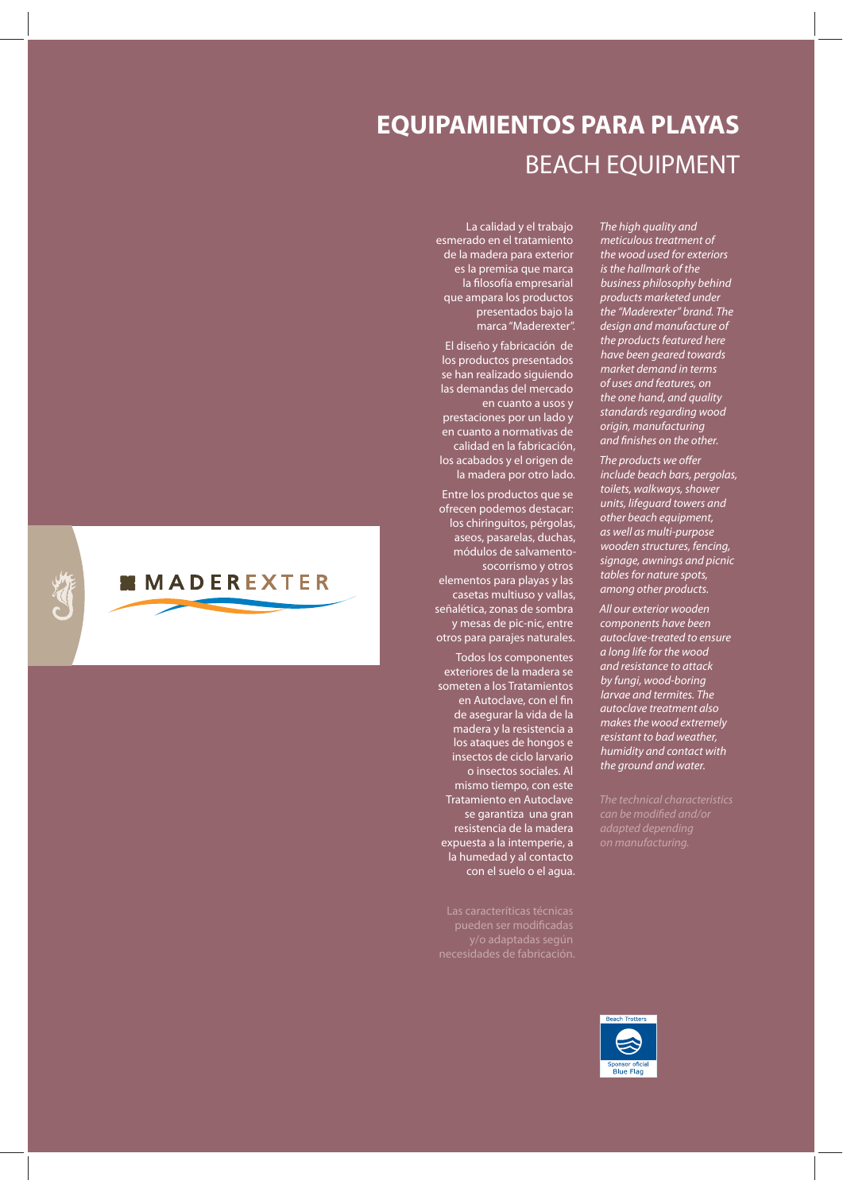#### **EQUIPAMIENTOS PARA PLAYAS** BEACH EQUIPMENT

La calidad y el trabajo esmerado en el tratamiento de la madera para exterior es la premisa que marca la filosofía empresarial que ampara los productos presentados bajo la marca "Maderexter".

El diseño y fabricación de los productos presentados se han realizado siguiendo las demandas del mercado en cuanto a usos y prestaciones por un lado y en cuanto a normativas de calidad en la fabricación, los acabados y el origen de la madera por otro lado.

Entre los productos que se ofrecen podemos destacar: los chiringuitos, pérgolas, aseos, pasarelas, duchas, módulos de salvamentosocorrismo y otros elementos para playas y las casetas multiuso y vallas, señalética, zonas de sombra y mesas de pic-nic, entre otros para parajes naturales.

Todos los componentes exteriores de la madera se someten a los Tratamientos en Autoclave, con el fin de asegurar la vida de la madera y la resistencia a los ataques de hongos e insectos de ciclo larvario o insectos sociales. Al mismo tiempo, con este Tratamiento en Autoclave se garantiza una gran resistencia de la madera expuesta a la intemperie, a la humedad y al contacto con el suelo o el agua.

Las caracteríticas técnicas

The high quality and meticulous treatment of the wood used for exteriors is the hallmark of the business philosophy behind products marketed under the "Maderexter" brand. The design and manufacture of the products featured here have been geared towards market demand in terms of uses and features, on the one hand, and quality standards regarding wood origin, manufacturing and finishes on the other.

The products we offer include beach bars, pergolas, toilets, walkways, shower units, lifeguard towers and other beach equipment, as well as multi-purpose wooden structures, fencing, signage, awnings and picnic tables for nature spots, among other products.

All our exterior wooden components have been autoclave-treated to ensure a long life for the wood and resistance to attack by fungi, wood-boring larvae and termites. The autoclave treatment also makes the wood extremely *resistant to bad weather* humidity and contact with the ground and water.

The technical characteristics can be modified and/or



**MMADEREXTER**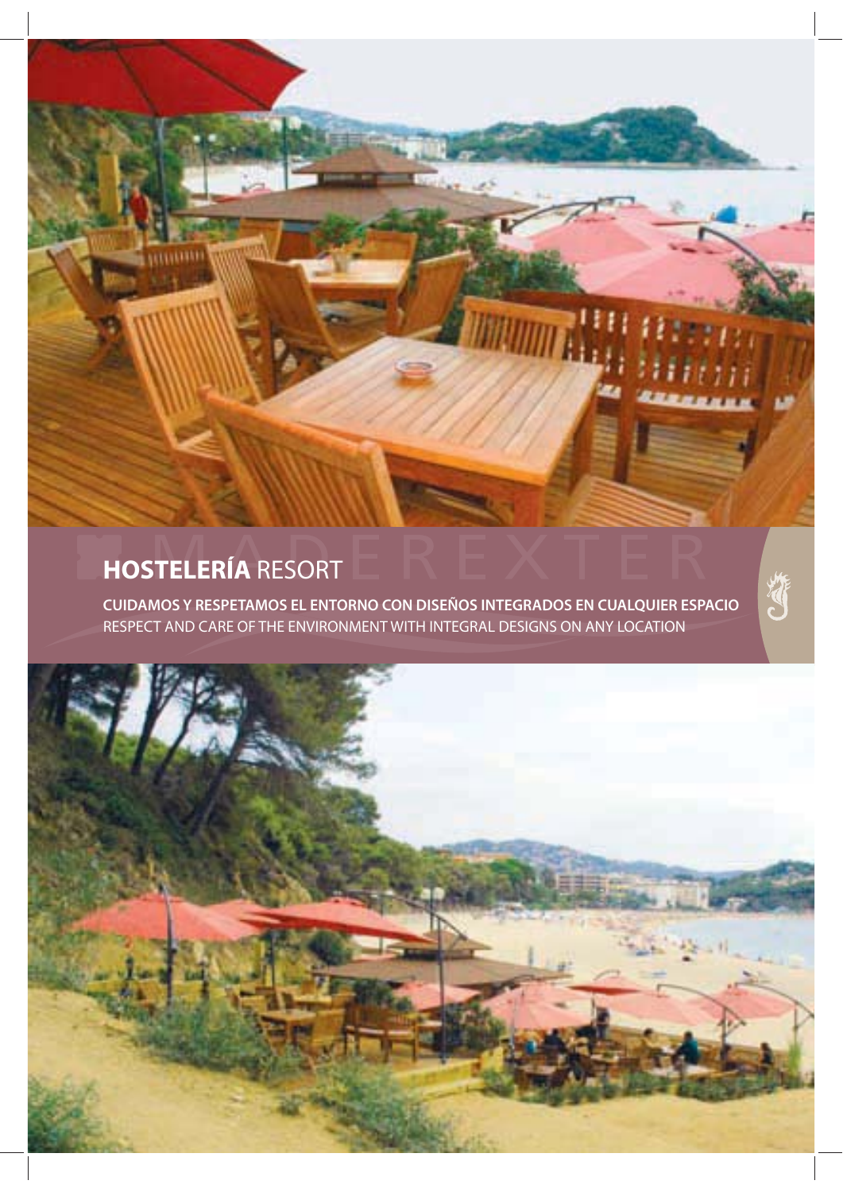### **HOSTELERÍA** RESORT

**CUIDAMOS Y RESPETAMOS EL ENTORNO CON DISEÑOS INTEGRADOS EN CUALQUIER ESPACIO**  RESPECT AND CARE OF THE ENVIRONMENT WITH INTEGRAL DESIGNS ON ANY LOCATION

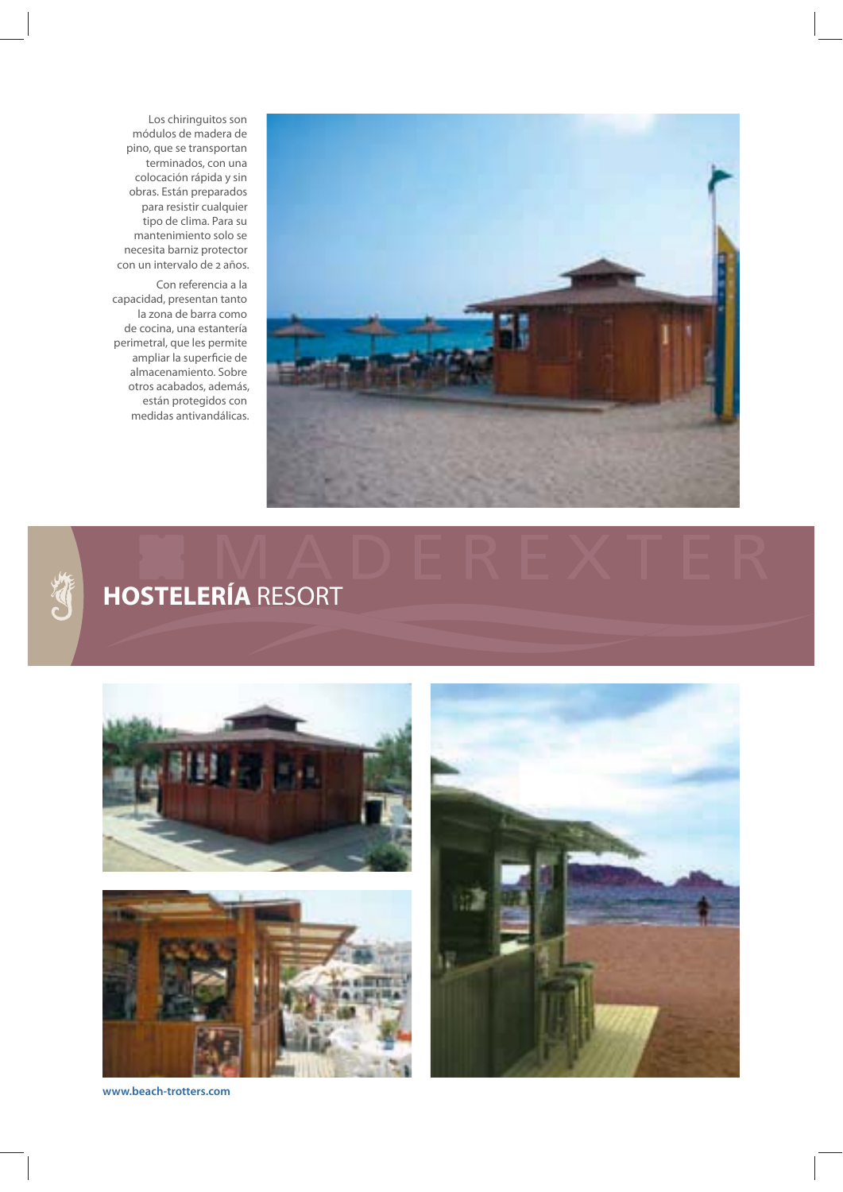

Los chiringuitos son módulos de madera de pino, que se transportan terminados, con una colocación rápida y sin obras. Están preparados para resistir cualquier tipo de clima. Para su mantenimiento solo se necesita barniz protector con un intervalo de 2 años.

 Con referencia a la capacidad, presentan tanto la zona de barra como de cocina, una estantería perimetral, que les permite ampliar la superficie de almacenamiento. Sobre otros acabados, además, están protegidos con medidas antivandálicas.



# **HOSTELERÍA** RESORT





**www.beach-trotters.com**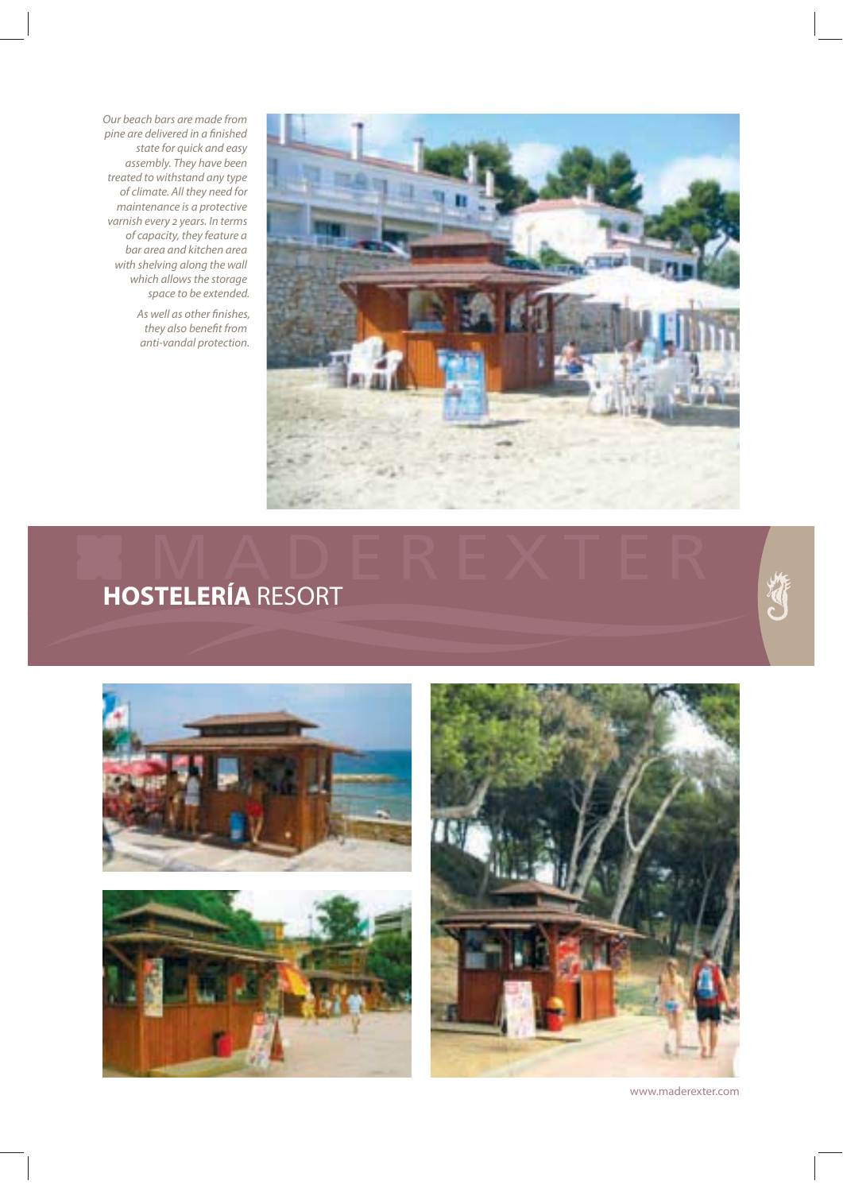Our beach bars are made from pine are delivered in a finished state for quick and easy assembly. They have been treated to withstand any type of climate. All they need for maintenance is a protective varnish every 2 years. In terms of capacity, they feature a bar area and kitchen area with shelving along the wall which allows the storage space to be extended.

> As well as other finishes, they also benefit from anti-vandal protection.



# **HOSTELERÍA** RESORT





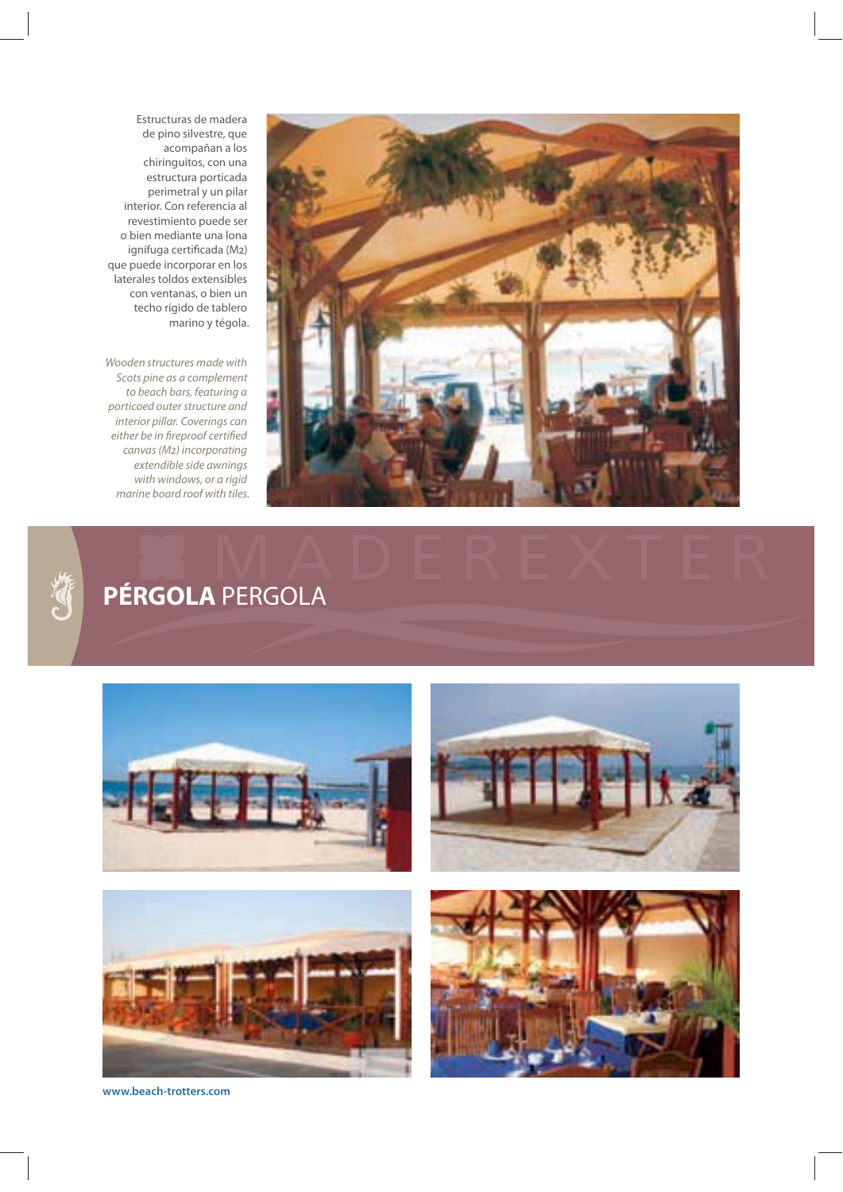

Estructuras de madera de pino silvestre, que acompañan a los chiringuitos, con una estructura porticada perimetral y un pilar interior. Con referencia al revestimiento puede ser o bien mediante una lona ignífuga certificada (M2) que puede incorporar en los laterales toldos extensibles con ventanas, o bien un techo rígido de tablero marino y tégola.

Wooden structures made with Scots pine as a complement to beach bars, featuring a porticoed outer structure and interior pillar. Coverings can either be in fireproof certified canvas (M2) incorporating extendible side awnings with windows, or a rigid marine board roof with tiles.

# **PÉRGOLA** PERGOLA









**www.beach-trotters.com**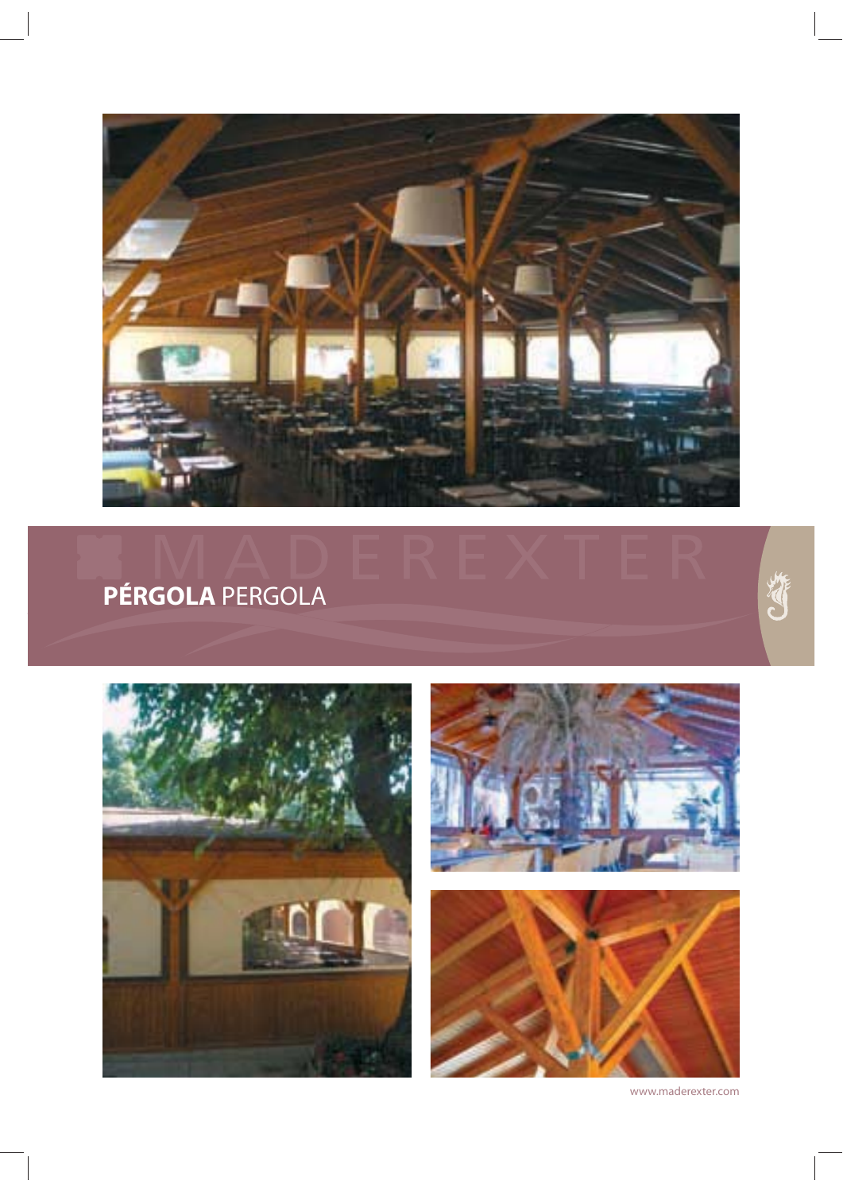

# **PÉRGOLA** PERGOLA







www.maderexter.com

E.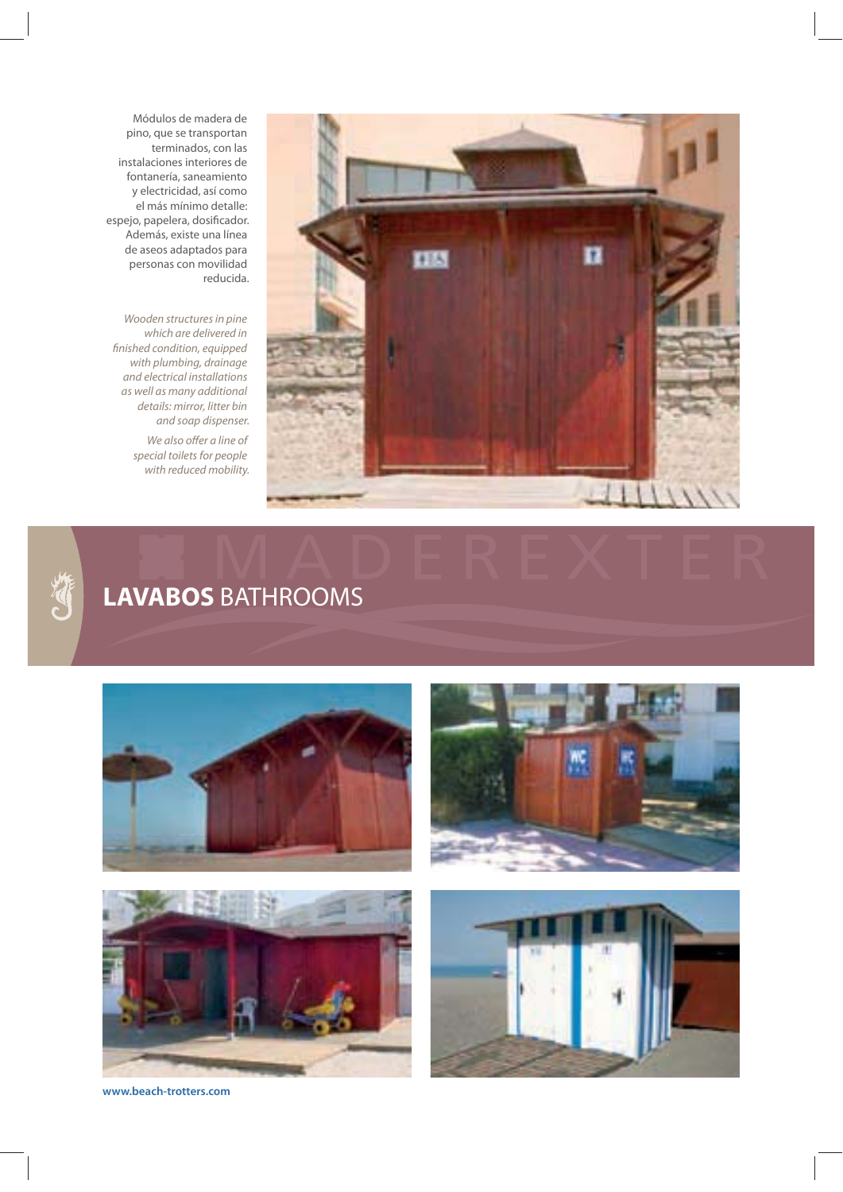

Módulos de madera de pino, que se transportan terminados, con las instalaciones interiores de fontanería, saneamiento y electricidad, así como el más mínimo detalle: espejo, papelera, dosificador. Además, existe una línea de aseos adaptados para personas con movilidad reducida.

Wooden structures in pine which are delivered in finished condition, equipped with plumbing, drainage and electrical installations as well as many additional details: mirror, litter bin and soap dispenser.

> We also offer a line of special toilets for people with reduced mobility.



# **LAVABOS** BATHROOMS









**www.beach-trotters.com**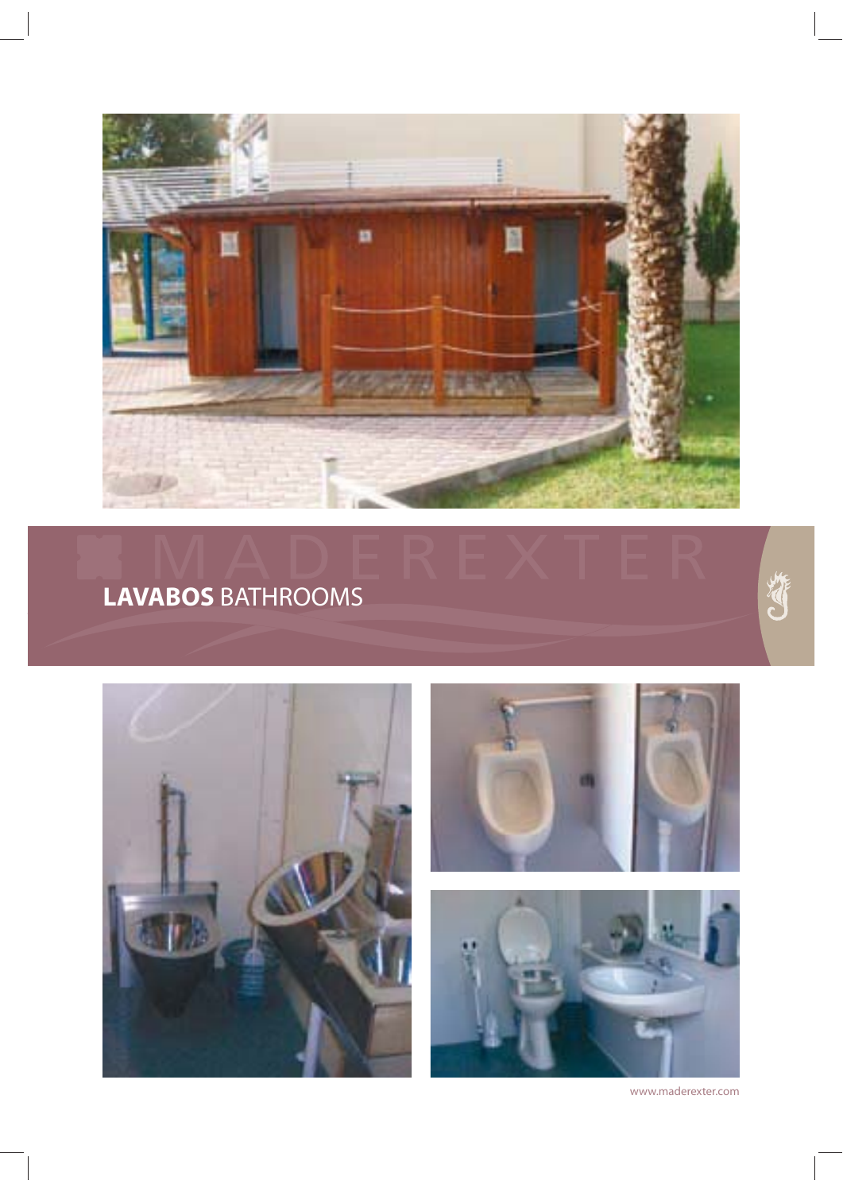

#### **LAVABOS** BATHROOMS

**CARL** 





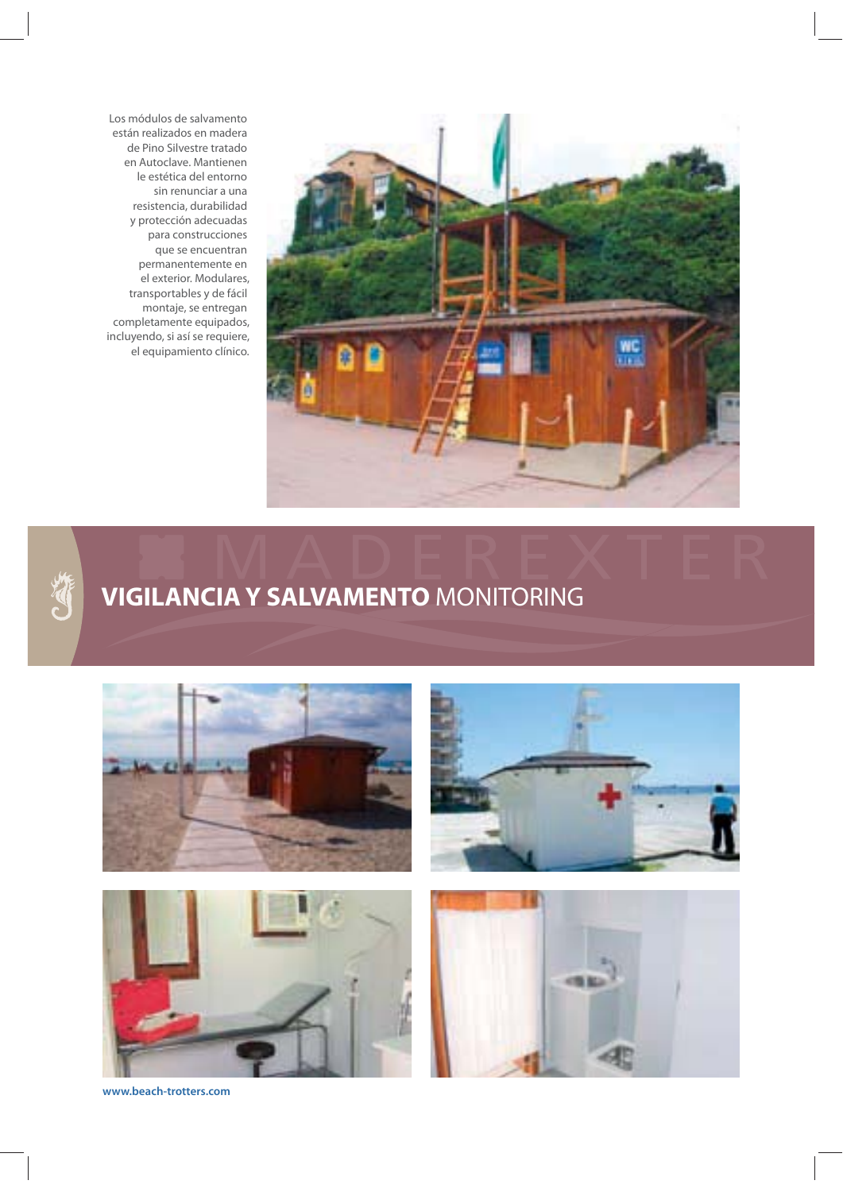Los módulos de salvamento están realizados en madera de Pino Silvestre tratado en Autoclave. Mantienen le estética del entorno sin renunciar a una resistencia, durabilidad y protección adecuadas para construcciones que se encuentran permanentemente en el exterior. Modulares, transportables y de fácil montaje, se entregan completamente equipados, incluyendo, si así se requiere, el equipamiento clínico.





#### **VIGILANCIA Y SALVAMENTO** MONITORING



**www.beach-trotters.com**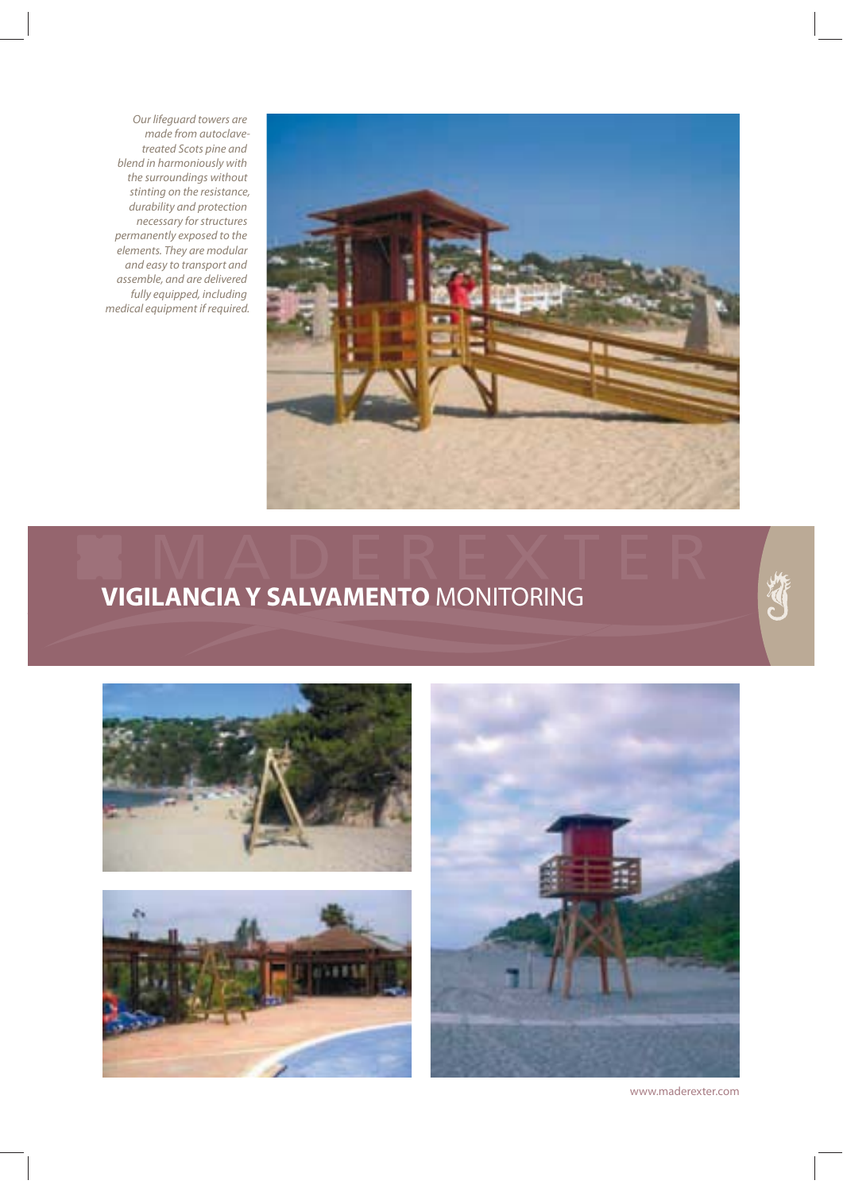Our lifeguard towers are made from autoclavetreated Scots pine and blend in harmoniously with the surroundings without stinting on the resistance, durability and protection necessary for structures permanently exposed to the elements. They are modular and easy to transport and assemble, and are delivered fully equipped, including medical equipment if required.



## **VIGILANCIA Y SALVAMENTO** MONITORING



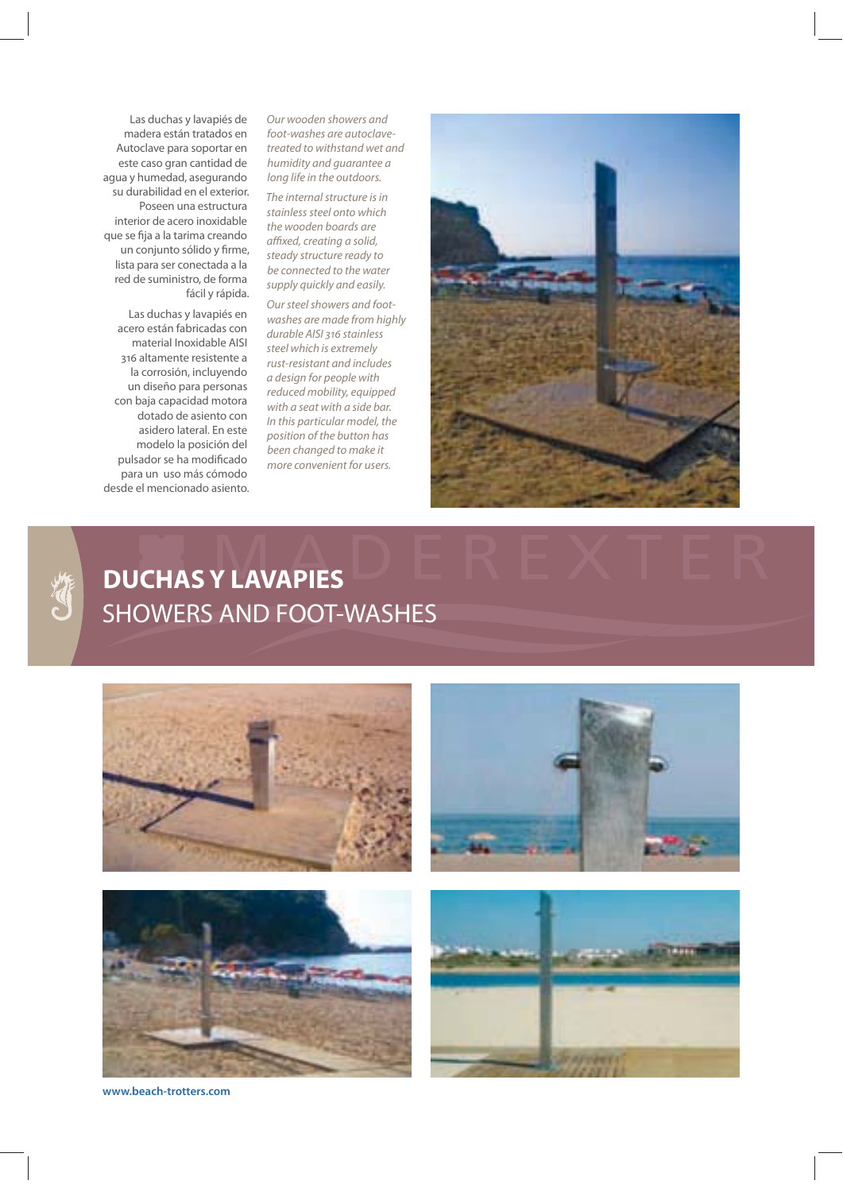Las duchas y lavapiés de madera están tratados en Autoclave para soportar en este caso gran cantidad de agua y humedad, asegurando su durabilidad en el exterior. Poseen una estructura interior de acero inoxidable que se fija a la tarima creando un conjunto sólido y firme, lista para ser conectada a la red de suministro, de forma fácil y rápida.

Las duchas y lavapiés en acero están fabricadas con material Inoxidable AISI 316 altamente resistente a la corrosión, incluyendo un diseño para personas con baja capacidad motora dotado de asiento con asidero lateral. En este modelo la posición del pulsador se ha modificado para un uso más cómodo desde el mencionado asiento. Our wooden showers and foot-washes are autoclavetreated to withstand wet and humidity and guarantee a long life in the outdoors.

The internal structure is in stainless steel onto which the wooden boards are affixed, creating a solid, steady structure ready to be connected to the water supply quickly and easily.

Our steel showers and footwashes are made from highly durable AISI 316 stainless steel which is extremely rust-resistant and includes a design for people with reduced mobility, equipped with a seat with a side bar. In this particular model, the position of the button has been changed to make it more convenient for users.





#### **DUCHAS Y LAVAPIES** SHOWERS AND FOOT-WASHES



**www.beach-trotters.com**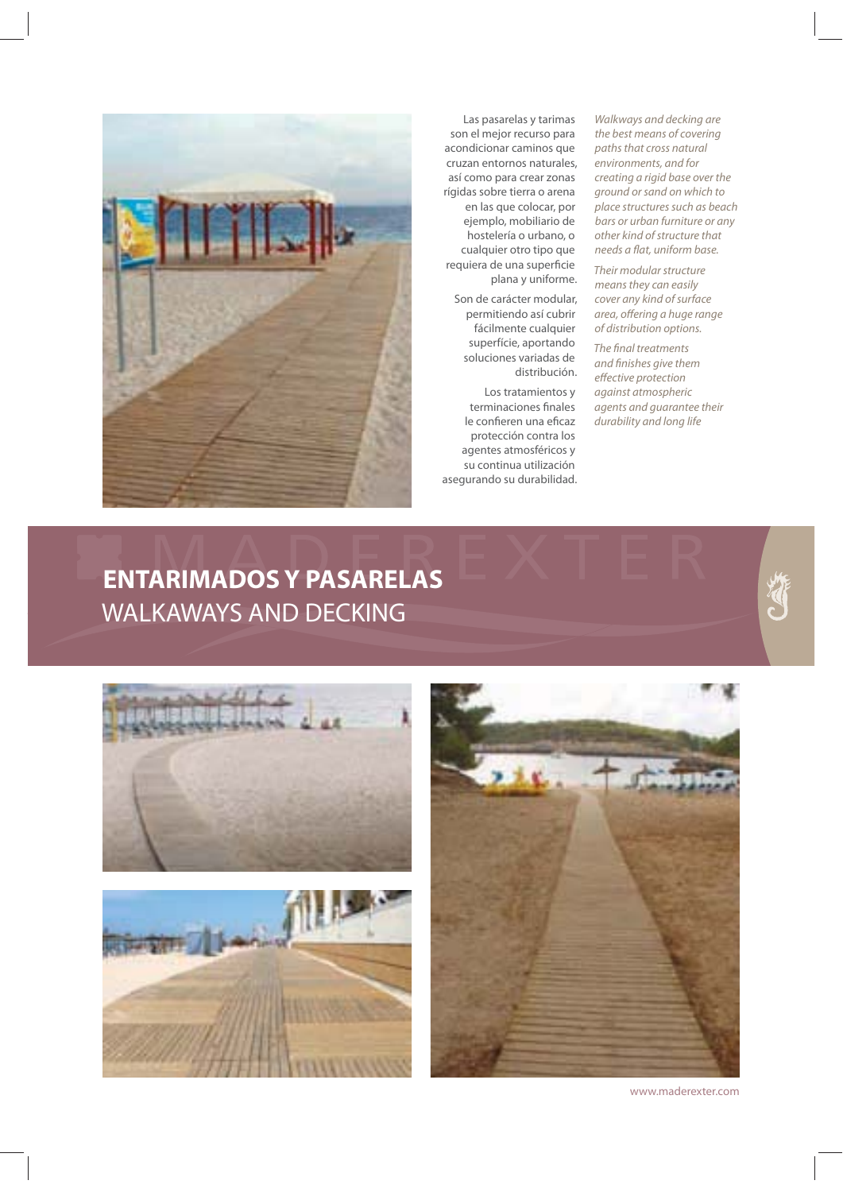

Las pasarelas y tarimas son el mejor recurso para acondicionar caminos que cruzan entornos naturales, así como para crear zonas rígidas sobre tierra o arena en las que colocar, por ejemplo, mobiliario de hostelería o urbano, o cualquier otro tipo que requiera de una superficie plana y uniforme.

Son de carácter modular, permitiendo así cubrir fácilmente cualquier superfície, aportando soluciones variadas de distribución.

Los tratamientos y terminaciones finales le confieren una eficaz protección contra los agentes atmosféricos y su continua utilización asegurando su durabilidad.

Walkways and decking are the best means of covering paths that cross natural environments, and for creating a rigid base over the ground or sand on which to place structures such as beach bars or urban furniture or any other kind of structure that needs a flat, uniform base.

Their modular structure means they can easily cover any kind of surface area, offering a huge range of distribution options.

The final treatments and finishes give them effective protection against atmospheric agents and guarantee their durability and long life

#### **ENTARIMADOS Y PASARELAS** WALKAWAYS AND DECKING

![](_page_11_Picture_9.jpeg)

![](_page_11_Picture_10.jpeg)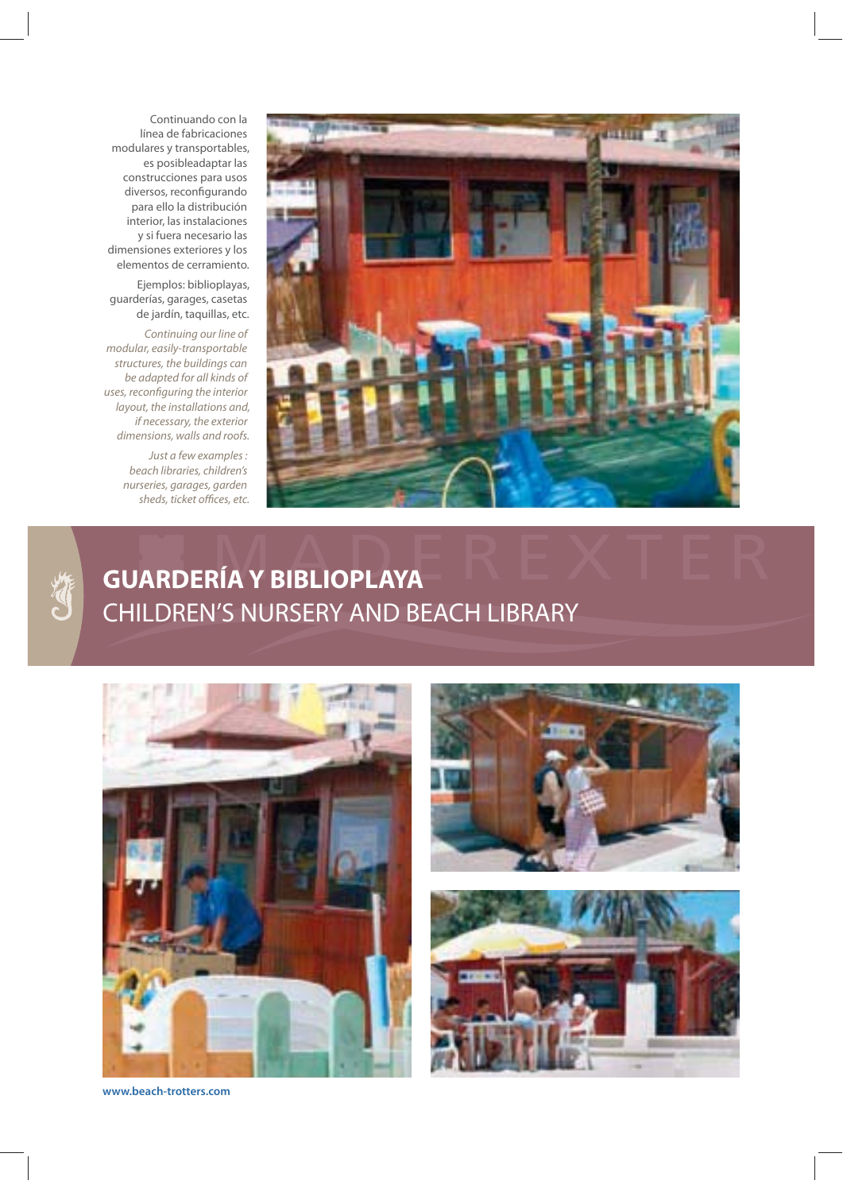Continuando con la línea de fabricaciones modulares y transportables, es posibleadaptar las construcciones para usos diversos, reconfigurando para ello la distribución interior, las instalaciones y si fuera necesario las dimensiones exteriores y los elementos de cerramiento.

Ejemplos: biblioplayas, guarderías, garages, casetas de jardín, taquillas, etc.

Continuing our line of modular, easily-transportable structures, the buildings can be adapted for all kinds of uses, reconfiguring the interior layout, the installations and, if necessary, the exterior dimensions, walls and roofs.

> Just a few examples : beach libraries, children's nurseries, garages, garden sheds, ticket offices, etc.

![](_page_12_Picture_4.jpeg)

#### **GUARDERÍA Y BIBLIOPLAYA** CHILDREN'S NURSERY AND BEACH LIBRARY

![](_page_12_Picture_7.jpeg)

![](_page_12_Picture_8.jpeg)

![](_page_12_Picture_9.jpeg)

**www.beach-trotters.com**